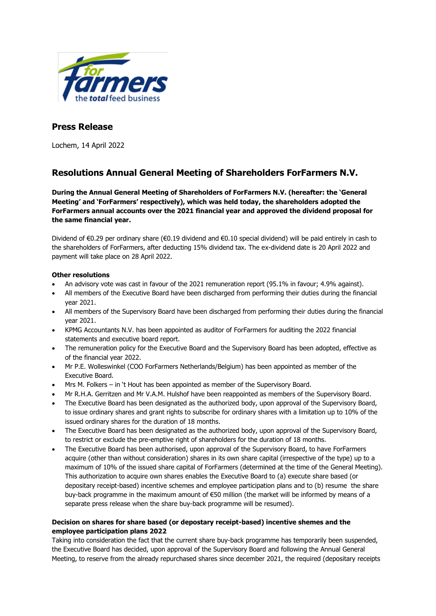

## **Press Release**

Lochem, 14 April 2022

# **Resolutions Annual General Meeting of Shareholders ForFarmers N.V.**

**During the Annual General Meeting of Shareholders of ForFarmers N.V. (hereafter: the 'General Meeting' and 'ForFarmers' respectively), which was held today, the shareholders adopted the ForFarmers annual accounts over the 2021 financial year and approved the dividend proposal for the same financial year.** 

Dividend of €0.29 per ordinary share (€0.19 dividend and €0.10 special dividend) will be paid entirely in cash to the shareholders of ForFarmers, after deducting 15% dividend tax. The ex-dividend date is 20 April 2022 and payment will take place on 28 April 2022.

### **Other resolutions**

- An advisory vote was cast in favour of the 2021 remuneration report (95.1% in favour; 4.9% against).
- All members of the Executive Board have been discharged from performing their duties during the financial year 2021.
- All members of the Supervisory Board have been discharged from performing their duties during the financial year 2021.
- KPMG Accountants N.V. has been appointed as auditor of ForFarmers for auditing the 2022 financial statements and executive board report.
- The remuneration policy for the Executive Board and the Supervisory Board has been adopted, effective as of the financial year 2022.
- Mr P.E. Wolleswinkel (COO ForFarmers Netherlands/Belgium) has been appointed as member of the Executive Board.
- Mrs M. Folkers in 't Hout has been appointed as member of the Supervisory Board.
- Mr R.H.A. Gerritzen and Mr V.A.M. Hulshof have been reappointed as members of the Supervisory Board.
- The Executive Board has been designated as the authorized body, upon approval of the Supervisory Board, to issue ordinary shares and grant rights to subscribe for ordinary shares with a limitation up to 10% of the issued ordinary shares for the duration of 18 months.
- The Executive Board has been designated as the authorized body, upon approval of the Supervisory Board, to restrict or exclude the pre-emptive right of shareholders for the duration of 18 months.
- The Executive Board has been authorised, upon approval of the Supervisory Board, to have ForFarmers acquire (other than without consideration) shares in its own share capital (irrespective of the type) up to a maximum of 10% of the issued share capital of ForFarmers (determined at the time of the General Meeting). This authorization to acquire own shares enables the Executive Board to (a) execute share based (or depositary receipt-based) incentive schemes and employee participation plans and to (b) resume the share buy-back programme in the maximum amount of €50 million (the market will be informed by means of a separate press release when the share buy-back programme will be resumed).

### **Decision on shares for share based (or depostary receipt-based) incentive shemes and the employee participation plans 2022**

Taking into consideration the fact that the current share buy-back programme has temporarily been suspended, the Executive Board has decided, upon approval of the Supervisory Board and following the Annual General Meeting, to reserve from the already repurchased shares since december 2021, the required (depositary receipts